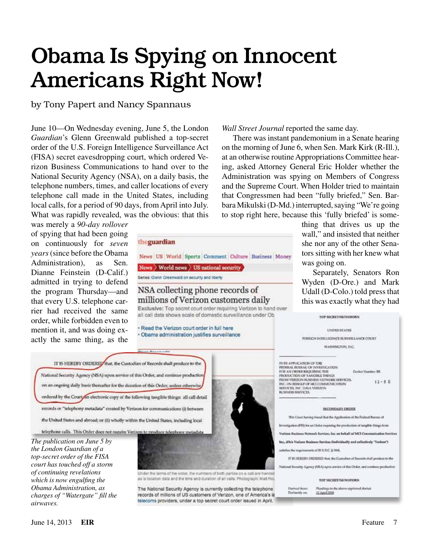# Obama Is Spying on Innocent Americans Right Now!

by Tony Papert and Nancy Spannaus

June 10—On Wednesday evening, June 5, the London *Guardian*'s Glenn Greenwald published a top-secret order of the U.S. Foreign Intelligence Surveillance Act (FISA) secret eavesdropping court, which ordered Verizon Business Communications to hand over to the National Security Agency (NSA), on a daily basis, the telephone numbers, times, and caller locations of every telephone call made in the United States, including local calls, for a period of 90 days, from April into July. What was rapidly revealed, was the obvious: that this

was merely a *90-day rollover* of spying that had been going on continuously for *seven years* (since before the Obama Administration), as Sen. Dianne Feinstein (D-Calif.) admitted in trying to defend the program Thursday—and that every U.S. telephone carrier had received the same order, while forbidden even to mention it, and was doing exactly the same thing, as the

theguardian News US World Sports Comment Culture Business Money News > World news > US national security Series: Glenn Greenwald on security and liberty NSA collecting phone records of millions of Verizon customers daily Exclusive: Top secret court order requiring Verizon to hand over all call data shows scale of domestic surveillance under Ob. - Read the Verizon court order in full here Obama administration justifies surveillance IT IS HEREBY ORDEREY that, the Custodian of Records shall produce to the National Security Agency (NSA) upon service of this Order, and continue production on an ongoing daily basis thereafter for the duration of this Order, unless otherwise ordered by the Court on electronic copy of the following tangible things: all call detail

records or "telephony metadata" created by Verizon for communications (i) between the United States and abroad; or (ii) wholly within the United States, including local

telephone calls. This Order does not require Verizon to produce telephony metadata

*The publication on June 5 by the London Guardian of a top-secret order of the FISA court has touched off a storm of continuing revelations which is now engulfing the Obama Administration, as charges of "Watergate" fill the airwaves.*



Under the lerms of the order, the numbers of both parties on a call are handas is location data and the time and duration of all calls. Photograph: Matt Ro

The National Security Agency is currently collecting the telephone records of millions of US customers of Verizon, one of America's la telecoms providers, under a top secret court order issued in April.

### *Wall Street Journal* reported the same day.

There was instant pandemonium in a Senate hearing on the morning of June 6, when Sen. Mark Kirk (R-Ill.), at an otherwise routine Appropriations Committee hearing, asked Attorney General Eric Holder whether the Administration was spying on Members of Congress and the Supreme Court. When Holder tried to maintain that Congressmen had been "fully briefed," Sen. Barbara Mikulski (D-Md.) interrupted, saying "We're going to stop right here, because this 'fully briefed' is some-

thing that drives us up the wall," and insisted that neither she nor any of the other Senators sitting with her knew what was going on.

Separately, Senators Ron Wyden (D-Ore.) and Mark Udall (D-Colo.) told press that this was exactly what they had



12 April 2016

June 14, 2013 **EIR** Feature 7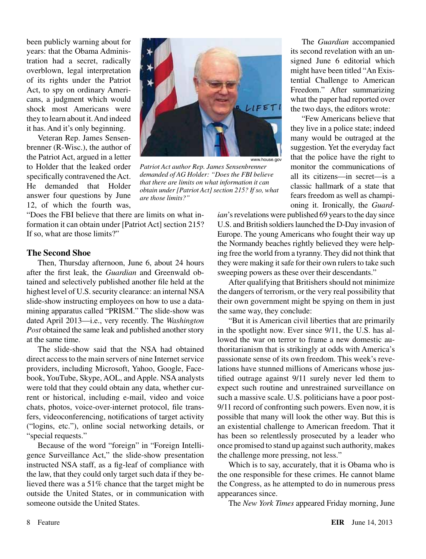been publicly warning about for years: that the Obama Administration had a secret, radically overblown, legal interpretation of its rights under the Patriot Act, to spy on ordinary Americans, a judgment which would shock most Americans were they to learn about it. And indeed it has. And it's only beginning.

Veteran Rep. James Sensenbrenner (R-Wisc.), the author of the Patriot Act, argued in a letter to Holder that the leaked order specifically contravened the Act. He demanded that Holder answer four questions by June 12, of which the fourth was,



*Patriot Act author Rep. James Sensenbrenner demanded of AG Holder: "Does the FBI believe that there are limits on what information it can obtain under [Patriot Act] section 215? If so, what are those limits?"*

"Does the FBI believe that there are limits on what information it can obtain under [Patriot Act] section 215? If so, what are those limits?"

### **The Second Shoe**

Then, Thursday afternoon, June 6, about 24 hours after the first leak, the *Guardian* and Greenwald obtained and selectively published another file held at the highest level of U.S. security clearance: an internal NSA slide-show instructing employees on how to use a datamining apparatus called "PRISM." The slide-show was dated April 2013—i.e., very recently. The *Washington Post* obtained the same leak and published another story at the same time.

The slide-show said that the NSA had obtained direct access to the main servers of nine Internet service providers, including Microsoft, Yahoo, Google, Facebook, YouTube, Skype, AOL, and Apple. NSA analysts were told that they could obtain any data, whether current or historical, including e-mail, video and voice chats, photos, voice-over-internet protocol, file transfers, videoconferencing, notifications of target activity ("logins, etc."), online social networking details, or "special requests."

Because of the word "foreign" in "Foreign Intelligence Surveillance Act," the slide-show presentation instructed NSA staff, as a fig-leaf of compliance with the law, that they could only target such data if they believed there was a 51% chance that the target might be outside the United States, or in communication with someone outside the United States.

The *Guardian* accompanied its second revelation with an unsigned June 6 editorial which might have been titled "An Existential Challenge to American Freedom." After summarizing what the paper had reported over the two days, the editors wrote:

"Few Americans believe that they live in a police state; indeed many would be outraged at the suggestion. Yet the everyday fact that the police have the right to monitor the communications of all its citizens—in secret—is a classic hallmark of a state that fears freedom as well as championing it. Ironically, the *Guard-*

*ian*'s revelations were published 69 years to the day since U.S. and British soldiers launched the D-Day invasion of Europe. The young Americans who fought their way up the Normandy beaches rightly believed they were helping free the world from a tyranny. They did not think that they were making it safe for their own rulers to take such sweeping powers as these over their descendants."

After qualifying that Britishers should not minimize the dangers of terrorism, or the very real possibility that their own government might be spying on them in just the same way, they conclude:

"But it is American civil liberties that are primarily in the spotlight now. Ever since 9/11, the U.S. has allowed the war on terror to frame a new domestic authoritarianism that is strikingly at odds with America's passionate sense of its own freedom. This week's revelations have stunned millions of Americans whose justified outrage against 9/11 surely never led them to expect such routine and unrestrained surveillance on such a massive scale. U.S. politicians have a poor post-9/11 record of confronting such powers. Even now, it is possible that many will look the other way. But this is an existential challenge to American freedom. That it has been so relentlessly prosecuted by a leader who once promised to stand up against such authority, makes the challenge more pressing, not less."

Which is to say, accurately, that it is Obama who is the one responsible for these crimes. He cannot blame the Congress, as he attempted to do in numerous press appearances since.

The *New York Times* appeared Friday morning, June